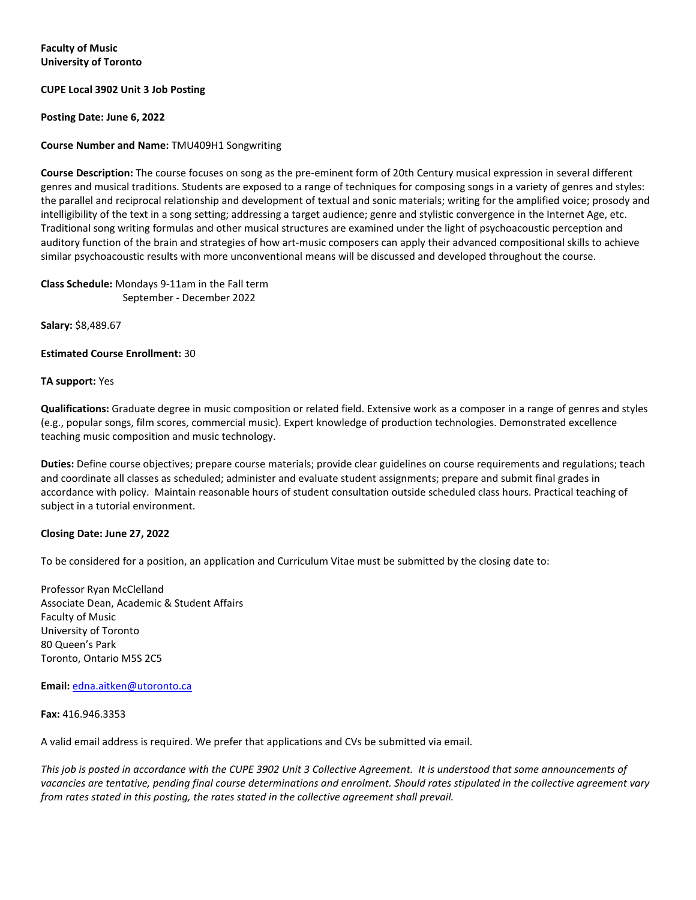# **Faculty of Music University of Toronto**

# **CUPE Local 3902 Unit 3 Job Posting**

## **Posting Date: June 6, 2022**

# **Course Number and Name:** TMU409H1 Songwriting

**Course Description:** The course focuses on song as the pre-eminent form of 20th Century musical expression in several different genres and musical traditions. Students are exposed to a range of techniques for composing songs in a variety of genres and styles: the parallel and reciprocal relationship and development of textual and sonic materials; writing for the amplified voice; prosody and intelligibility of the text in a song setting; addressing a target audience; genre and stylistic convergence in the Internet Age, etc. Traditional song writing formulas and other musical structures are examined under the light of psychoacoustic perception and auditory function of the brain and strategies of how art-music composers can apply their advanced compositional skills to achieve similar psychoacoustic results with more unconventional means will be discussed and developed throughout the course.

**Class Schedule:** Mondays 9-11am in the Fall term September - December 2022

**Salary:** \$8,489.67

## **Estimated Course Enrollment:** 30

## **TA support:** Yes

**Qualifications:** Graduate degree in music composition or related field. Extensive work as a composer in a range of genres and styles (e.g., popular songs, film scores, commercial music). Expert knowledge of production technologies. Demonstrated excellence teaching music composition and music technology.

**Duties:** Define course objectives; prepare course materials; provide clear guidelines on course requirements and regulations; teach and coordinate all classes as scheduled; administer and evaluate student assignments; prepare and submit final grades in accordance with policy. Maintain reasonable hours of student consultation outside scheduled class hours. Practical teaching of subject in a tutorial environment.

#### **Closing Date: June 27, 2022**

To be considered for a position, an application and Curriculum Vitae must be submitted by the closing date to:

Professor Ryan McClelland Associate Dean, Academic & Student Affairs Faculty of Music University of Toronto 80 Queen's Park Toronto, Ontario M5S 2C5

# **Email:** edna.aitken@utoronto.ca

#### **Fax:** 416.946.3353

A valid email address is required. We prefer that applications and CVs be submitted via email.

*This job is posted in accordance with the CUPE 3902 Unit 3 Collective Agreement. It is understood that some announcements of vacancies are tentative, pending final course determinations and enrolment. Should rates stipulated in the collective agreement vary from rates stated in this posting, the rates stated in the collective agreement shall prevail.*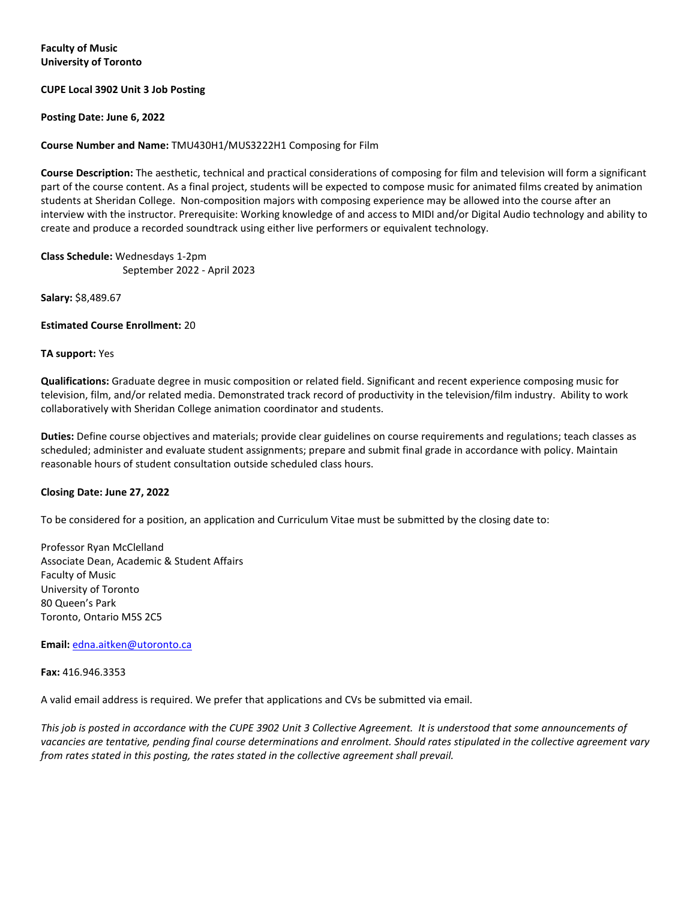# **Faculty of Music University of Toronto**

## **CUPE Local 3902 Unit 3 Job Posting**

**Posting Date: June 6, 2022**

## **Course Number and Name:** TMU430H1/MUS3222H1 Composing for Film

**Course Description:** The aesthetic, technical and practical considerations of composing for film and television will form a significant part of the course content. As a final project, students will be expected to compose music for animated films created by animation students at Sheridan College. Non-composition majors with composing experience may be allowed into the course after an interview with the instructor. Prerequisite: Working knowledge of and access to MIDI and/or Digital Audio technology and ability to create and produce a recorded soundtrack using either live performers or equivalent technology.

**Class Schedule:** Wednesdays 1-2pm September 2022 - April 2023

**Salary:** \$8,489.67

**Estimated Course Enrollment:** 20

**TA support:** Yes

**Qualifications:** Graduate degree in music composition or related field. Significant and recent experience composing music for television, film, and/or related media. Demonstrated track record of productivity in the television/film industry. Ability to work collaboratively with Sheridan College animation coordinator and students.

**Duties:** Define course objectives and materials; provide clear guidelines on course requirements and regulations; teach classes as scheduled; administer and evaluate student assignments; prepare and submit final grade in accordance with policy. Maintain reasonable hours of student consultation outside scheduled class hours.

#### **Closing Date: June 27, 2022**

To be considered for a position, an application and Curriculum Vitae must be submitted by the closing date to:

Professor Ryan McClelland Associate Dean, Academic & Student Affairs Faculty of Music University of Toronto 80 Queen's Park Toronto, Ontario M5S 2C5

**Email:** edna.aitken@utoronto.ca

**Fax:** 416.946.3353

A valid email address is required. We prefer that applications and CVs be submitted via email.

*This job is posted in accordance with the CUPE 3902 Unit 3 Collective Agreement. It is understood that some announcements of vacancies are tentative, pending final course determinations and enrolment. Should rates stipulated in the collective agreement vary from rates stated in this posting, the rates stated in the collective agreement shall prevail.*